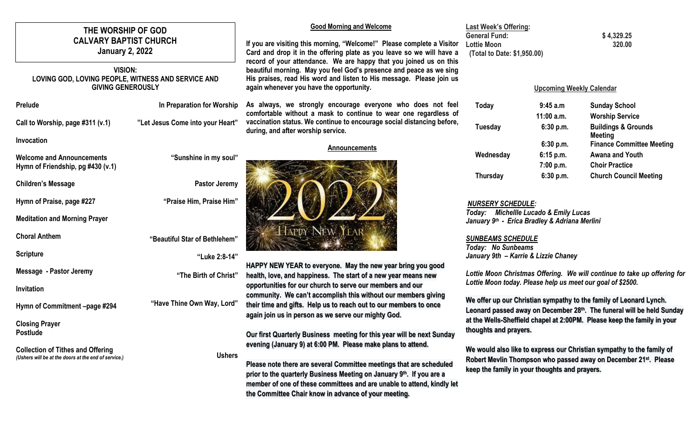# **THE WORSHIP OF GOD CALVARY BAPTIST CHURCH January 2, 2022**

## **VISION: LOVING GOD, LOVING PEOPLE, WITNESS AND SERVICE AND GIVING GENEROUSLY**

| Prelude                          | In Preparation for Worship       |
|----------------------------------|----------------------------------|
| Call to Worship, page #311 (v.1) | "Let Jesus Come into your Heart" |

**Invocation**

| <b>Welcome and Announcements</b><br>Hymn of Friendship, pg #430 (v.1)                            | "Sunshine in my soul"         |
|--------------------------------------------------------------------------------------------------|-------------------------------|
| <b>Children's Message</b>                                                                        | Pastor Jeremy                 |
| Hymn of Praise, page #227                                                                        | "Praise Him, Praise Him"      |
| <b>Meditation and Morning Prayer</b>                                                             |                               |
| <b>Choral Anthem</b>                                                                             | "Beautiful Star of Bethlehem" |
| <b>Scripture</b>                                                                                 | "Luke 2:8-14"                 |
| Message - Pastor Jeremy                                                                          | "The Birth of Christ"         |
| Invitation                                                                                       |                               |
| Hymn of Commitment -page #294                                                                    | "Have Thine Own Way, Lord"    |
| <b>Closing Prayer</b><br><b>Postlude</b>                                                         |                               |
| <b>Collection of Tithes and Offering</b><br>(Ushers will be at the doors at the end of service.) | <b>Ushers</b>                 |
|                                                                                                  |                               |

## **Good Morning and Welcome**

**If you are visiting this morning, "Welcome!" Please complete a Visitor Card and drop it in the offering plate as you leave so we will have a record of your attendance. We are happy that you joined us on this beautiful morning. May you feel God's presence and peace as we sing His praises, read His word and listen to His message. Please join us again whenever you have the opportunity.**

**As always, we strongly encourage everyone who does not feel comfortable without a mask to continue to wear one regardless of vaccination status. We continue to encourage social distancing before, during, and after worship service.**

#### **Announcements**



**HAPPY NEW YEAR to everyone. May the new year bring you good health, love, and happiness. The start of a new year means new opportunities for our church to serve our members and our community. We can't accomplish this without our members giving their time and gifts. Help us to reach out to our members to once again join us in person as we serve our mighty God.**

**Our first Quarterly Business meeting for this year will be next Sunday evening (January 9) at 6:00 PM. Please make plans to attend.**

**Please note there are several Committee meetings that are scheduled prior to the quarterly Business Meeting on January 9th. If you are a member of one of these committees and are unable to attend, kindly let the Committee Chair know in advance of your meeting.**

#### **Last Week's Offering: General Fund: \$ 4,329.25 Lottie Moon 320.00 (Total to Date: \$1,950.00)**

### **Upcoming Weekly Calendar**

| Today     | 9:45a.m    | <b>Sunday School</b>                      |
|-----------|------------|-------------------------------------------|
|           | 11:00 a.m. | <b>Worship Service</b>                    |
| Tuesday   | 6:30 p.m.  | <b>Buildings &amp; Grounds</b><br>Meeting |
|           | 6:30 p.m.  | <b>Finance Committee Meeting</b>          |
| Wednesday | 6:15 p.m.  | <b>Awana and Youth</b>                    |
|           | 7:00 p.m.  | <b>Choir Practice</b>                     |
| Thursday  | 6:30 p.m.  | <b>Church Council Meeting</b>             |

## *NURSERY SCHEDULE:*

*Today: Michellle Lucado & Emily Lucas January 9 th - Erica Bradley & Adriana Merlini*

#### *SUNBEAMS SCHEDULE Today: No Sunbeams January 9th – Karrie & Lizzie Chaney*

*Lottie Moon Christmas Offering. We will continue to take up offering for Lottie Moon today. Please help us meet our goal of \$2500.*

**We offer up our Christian sympathy to the family of Leonard Lynch. Leonard passed away on December 28th . The funeral will be held Sunday at the Wells-Sheffield chapel at 2:00PM. Please keep the family in your thoughts and prayers.**

**We would also like to express our Christian sympathy to the family of Robert Mevlin Thompson who passed away on December 21st. Please keep the family in your thoughts and prayers.**